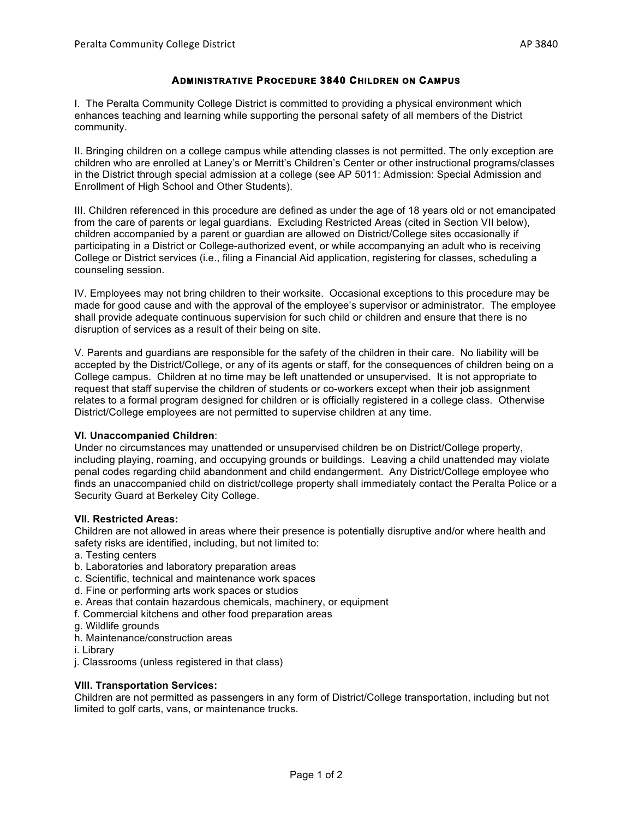# **ADMINISTRATIVE PROCEDURE 3840 CHILDREN ON CAMPUS**

I. The Peralta Community College District is committed to providing a physical environment which enhances teaching and learning while supporting the personal safety of all members of the District community.

II. Bringing children on a college campus while attending classes is not permitted. The only exception are children who are enrolled at Laney's or Merritt's Children's Center or other instructional programs/classes in the District through special admission at a college (see AP 5011: Admission: Special Admission and Enrollment of High School and Other Students).

III. Children referenced in this procedure are defined as under the age of 18 years old or not emancipated from the care of parents or legal guardians. Excluding Restricted Areas (cited in Section VII below), children accompanied by a parent or guardian are allowed on District/College sites occasionally if participating in a District or College-authorized event, or while accompanying an adult who is receiving College or District services (i.e., filing a Financial Aid application, registering for classes, scheduling a counseling session.

IV. Employees may not bring children to their worksite. Occasional exceptions to this procedure may be made for good cause and with the approval of the employee's supervisor or administrator. The employee shall provide adequate continuous supervision for such child or children and ensure that there is no disruption of services as a result of their being on site.

V. Parents and guardians are responsible for the safety of the children in their care. No liability will be accepted by the District/College, or any of its agents or staff, for the consequences of children being on a College campus. Children at no time may be left unattended or unsupervised. It is not appropriate to request that staff supervise the children of students or co-workers except when their job assignment relates to a formal program designed for children or is officially registered in a college class. Otherwise District/College employees are not permitted to supervise children at any time.

### **VI. Unaccompanied Children**:

Under no circumstances may unattended or unsupervised children be on District/College property, including playing, roaming, and occupying grounds or buildings. Leaving a child unattended may violate penal codes regarding child abandonment and child endangerment. Any District/College employee who finds an unaccompanied child on district/college property shall immediately contact the Peralta Police or a Security Guard at Berkeley City College.

### **VII. Restricted Areas:**

Children are not allowed in areas where their presence is potentially disruptive and/or where health and safety risks are identified, including, but not limited to:

- a. Testing centers
- b. Laboratories and laboratory preparation areas
- c. Scientific, technical and maintenance work spaces
- d. Fine or performing arts work spaces or studios
- e. Areas that contain hazardous chemicals, machinery, or equipment
- f. Commercial kitchens and other food preparation areas
- g. Wildlife grounds
- h. Maintenance/construction areas
- i. Library
- j. Classrooms (unless registered in that class)

#### **VIII. Transportation Services:**

Children are not permitted as passengers in any form of District/College transportation, including but not limited to golf carts, vans, or maintenance trucks.